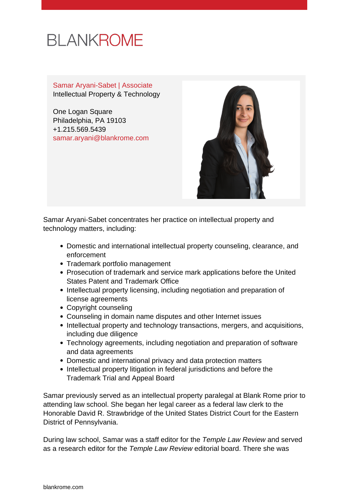# **BLANKROME**

Samar Aryani-Sabet | Associate Intellectual Property & Technology

One Logan Square Philadelphia, PA 19103 +1.215.569.5439 [samar.aryani@blankrome.com](mailto:samar.aryani@blankrome.com)



Samar Aryani-Sabet concentrates her practice on intellectual property and technology matters, including:

- Domestic and international intellectual property counseling, clearance, and enforcement
- Trademark portfolio management
- Prosecution of trademark and service mark applications before the United States Patent and Trademark Office
- Intellectual property licensing, including negotiation and preparation of license agreements
- Copyright counseling
- Counseling in domain name disputes and other Internet issues
- Intellectual property and technology transactions, mergers, and acquisitions, including due diligence
- Technology agreements, including negotiation and preparation of software and data agreements
- Domestic and international privacy and data protection matters
- Intellectual property litigation in federal jurisdictions and before the Trademark Trial and Appeal Board

Samar previously served as an intellectual property paralegal at Blank Rome prior to attending law school. She began her legal career as a federal law clerk to the Honorable David R. Strawbridge of the United States District Court for the Eastern District of Pennsylvania.

During law school, Samar was a staff editor for the Temple Law Review and served as a research editor for the Temple Law Review editorial board. There she was